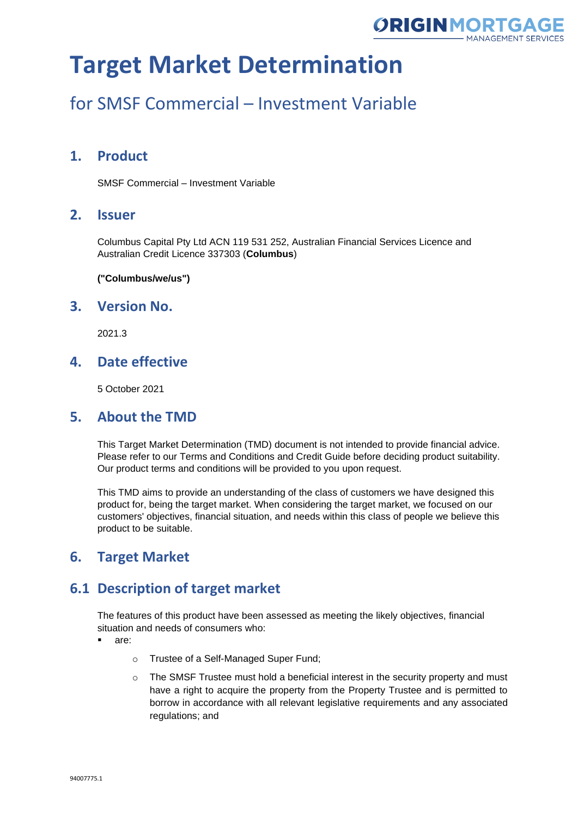

## for SMSF Commercial – Investment Variable

## **1. Product**

SMSF Commercial – Investment Variable

#### **2. Issuer**

Columbus Capital Pty Ltd ACN 119 531 252, Australian Financial Services Licence and Australian Credit Licence 337303 (**Columbus**)

**("Columbus/we/us")**

#### **3. Version No.**

2021.3

### **4. Date effective**

5 October 2021

#### **5. About the TMD**

This Target Market Determination (TMD) document is not intended to provide financial advice. Please refer to our Terms and Conditions and Credit Guide before deciding product suitability. Our product terms and conditions will be provided to you upon request.

This TMD aims to provide an understanding of the class of customers we have designed this product for, being the target market. When considering the target market, we focused on our customers' objectives, financial situation, and needs within this class of people we believe this product to be suitable.

## **6. Target Market**

## **6.1 Description of target market**

The features of this product have been assessed as meeting the likely objectives, financial situation and needs of consumers who:

- are:
	- o Trustee of a Self-Managed Super Fund;
	- $\circ$  The SMSF Trustee must hold a beneficial interest in the security property and must have a right to acquire the property from the Property Trustee and is permitted to borrow in accordance with all relevant legislative requirements and any associated regulations; and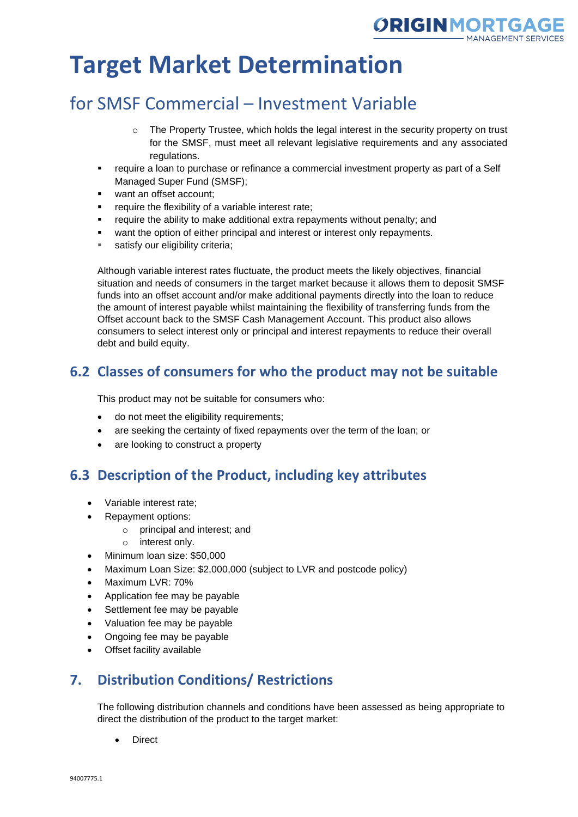

## for SMSF Commercial – Investment Variable

- $\circ$  The Property Trustee, which holds the legal interest in the security property on trust for the SMSF, must meet all relevant legislative requirements and any associated regulations.
- require a loan to purchase or refinance a commercial investment property as part of a Self Managed Super Fund (SMSF);
- want an offset account:
- require the flexibility of a variable interest rate;
- require the ability to make additional extra repayments without penalty; and
- want the option of either principal and interest or interest only repayments.
- satisfy our eligibility criteria;

Although variable interest rates fluctuate, the product meets the likely objectives, financial situation and needs of consumers in the target market because it allows them to deposit SMSF funds into an offset account and/or make additional payments directly into the loan to reduce the amount of interest payable whilst maintaining the flexibility of transferring funds from the Offset account back to the SMSF Cash Management Account. This product also allows consumers to select interest only or principal and interest repayments to reduce their overall debt and build equity.

## **6.2 Classes of consumers for who the product may not be suitable**

This product may not be suitable for consumers who:

- do not meet the eligibility requirements;
- are seeking the certainty of fixed repayments over the term of the loan; or
- are looking to construct a property

#### **6.3 Description of the Product, including key attributes**

- Variable interest rate;
- Repayment options:
	- o principal and interest; and
	- o interest only.
- Minimum loan size: \$50,000
- Maximum Loan Size: \$2,000,000 (subject to LVR and postcode policy)
- Maximum LVR: 70%
- Application fee may be payable
- Settlement fee may be payable
- Valuation fee may be payable
- Ongoing fee may be payable
- Offset facility available

## **7. Distribution Conditions/ Restrictions**

The following distribution channels and conditions have been assessed as being appropriate to direct the distribution of the product to the target market:

• Direct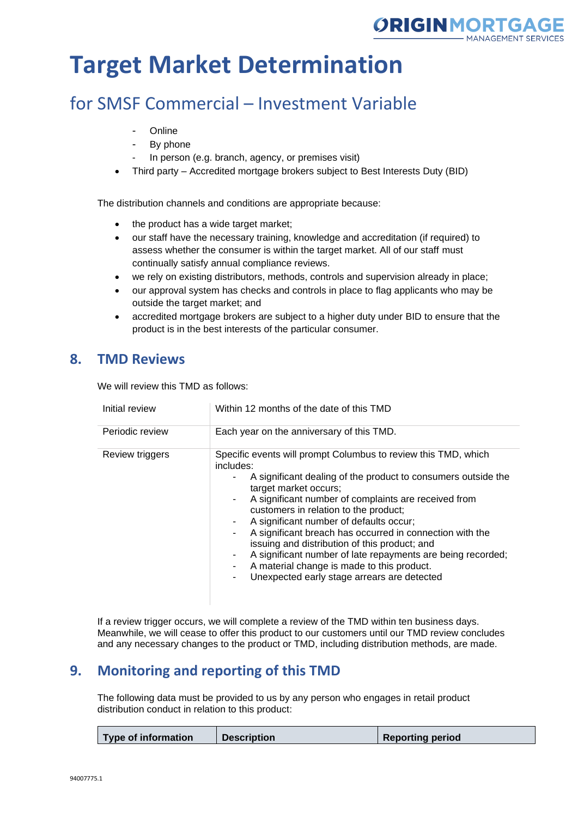

## for SMSF Commercial – Investment Variable

- **Online**
- By phone
- In person (e.g. branch, agency, or premises visit)
- Third party Accredited mortgage brokers subject to Best Interests Duty (BID)

The distribution channels and conditions are appropriate because:

- the product has a wide target market;
- our staff have the necessary training, knowledge and accreditation (if required) to assess whether the consumer is within the target market. All of our staff must continually satisfy annual compliance reviews.
- we rely on existing distributors, methods, controls and supervision already in place;
- our approval system has checks and controls in place to flag applicants who may be outside the target market; and
- accredited mortgage brokers are subject to a higher duty under BID to ensure that the product is in the best interests of the particular consumer.

### **8. TMD Reviews**

We will review this TMD as follows:

| Initial review  | Within 12 months of the date of this TMD                                                                                                                                                                                                                                                                                                                                                                                                                                                                                                                                                   |
|-----------------|--------------------------------------------------------------------------------------------------------------------------------------------------------------------------------------------------------------------------------------------------------------------------------------------------------------------------------------------------------------------------------------------------------------------------------------------------------------------------------------------------------------------------------------------------------------------------------------------|
| Periodic review | Each year on the anniversary of this TMD.                                                                                                                                                                                                                                                                                                                                                                                                                                                                                                                                                  |
| Review triggers | Specific events will prompt Columbus to review this TMD, which<br>includes:<br>A significant dealing of the product to consumers outside the<br>target market occurs;<br>A significant number of complaints are received from<br>customers in relation to the product;<br>A significant number of defaults occur;<br>A significant breach has occurred in connection with the<br>issuing and distribution of this product; and<br>A significant number of late repayments are being recorded;<br>A material change is made to this product.<br>Unexpected early stage arrears are detected |

If a review trigger occurs, we will complete a review of the TMD within ten business days. Meanwhile, we will cease to offer this product to our customers until our TMD review concludes and any necessary changes to the product or TMD, including distribution methods, are made.

## **9. Monitoring and reporting of this TMD**

The following data must be provided to us by any person who engages in retail product distribution conduct in relation to this product:

|  | Type of information | <b>Description</b> | <b>Reporting period</b> |
|--|---------------------|--------------------|-------------------------|
|--|---------------------|--------------------|-------------------------|